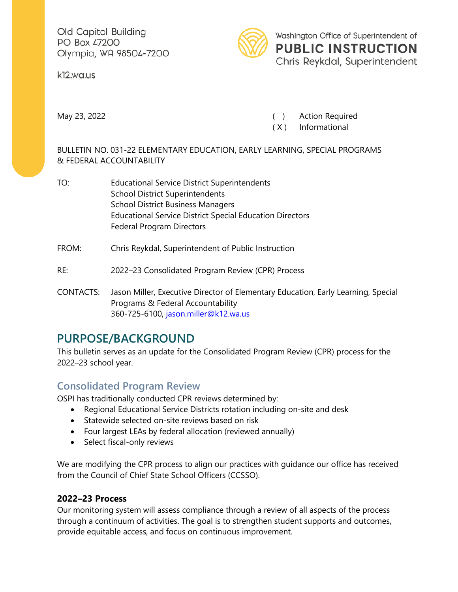Old Capitol Building PO Box 47200 Olympia, WA 98504-7200

k12.wa.us



Washington Office of Superintendent of **PUBLIC INSTRUCTION** Chris Reykdal, Superintendent

May 23, 2022 **May 23, 2022 Constant Construction Construction Construction Construction Required** 

( X ) Informational

BULLETIN NO. 031-22 ELEMENTARY EDUCATION, EARLY LEARNING, SPECIAL PROGRAMS & FEDERAL ACCOUNTABILITY

- TO: Educational Service District Superintendents School District Superintendents School District Business Managers Educational Service District Special Education Directors Federal Program Directors
- FROM: Chris Reykdal, Superintendent of Public Instruction

#### RE: 2022–23 Consolidated Program Review (CPR) Process

CONTACTS: Jason Miller, Executive Director of Elementary Education, Early Learning, Special Programs & Federal Accountability 360-725-6100, [jason.miller@k12.wa.us](mailto:jason.miller@k12.wa.us)

# **PURPOSE/BACKGROUND**

This bulletin serves as an update for the Consolidated Program Review (CPR) process for the 2022–23 school year.

## **Consolidated Program Review**

OSPI has traditionally conducted CPR reviews determined by:

- Regional Educational Service Districts rotation including on-site and desk
- Statewide selected on-site reviews based on risk
- Four largest LEAs by federal allocation (reviewed annually)
- Select fiscal-only reviews

We are modifying the CPR process to align our practices with guidance our office has received from the Council of Chief State School Officers (CCSSO).

### **2022–23 Process**

Our monitoring system will assess compliance through a review of all aspects of the process through a continuum of activities. The goal is to strengthen student supports and outcomes, provide equitable access, and focus on continuous improvement.